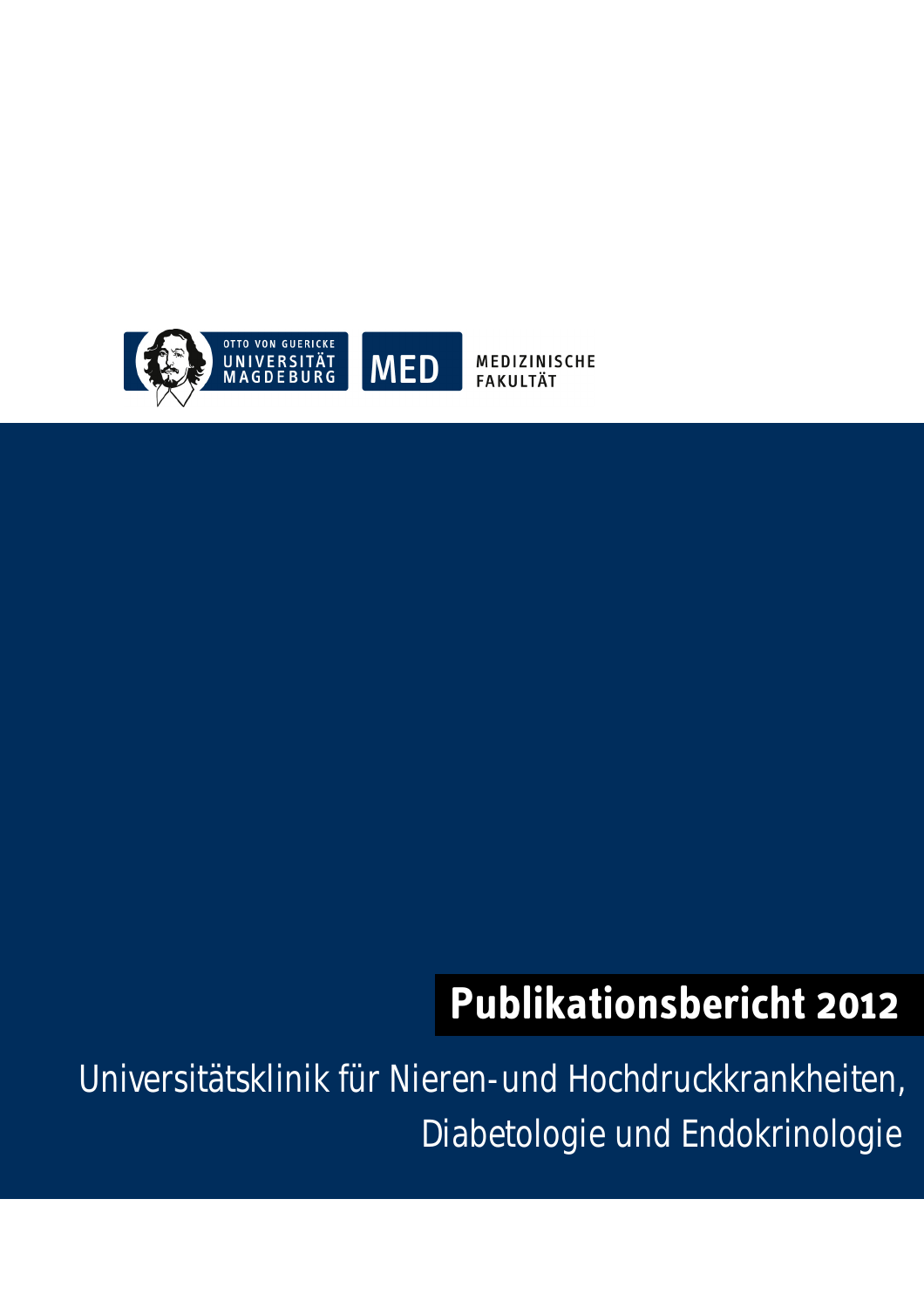

MEDIZINISCHE **FAKULTÄT** 

# **Publikationsbericht 2012**

Universitätsklinik für Nieren-und Hochdruckkrankheiten, Diabetologie und Endokrinologie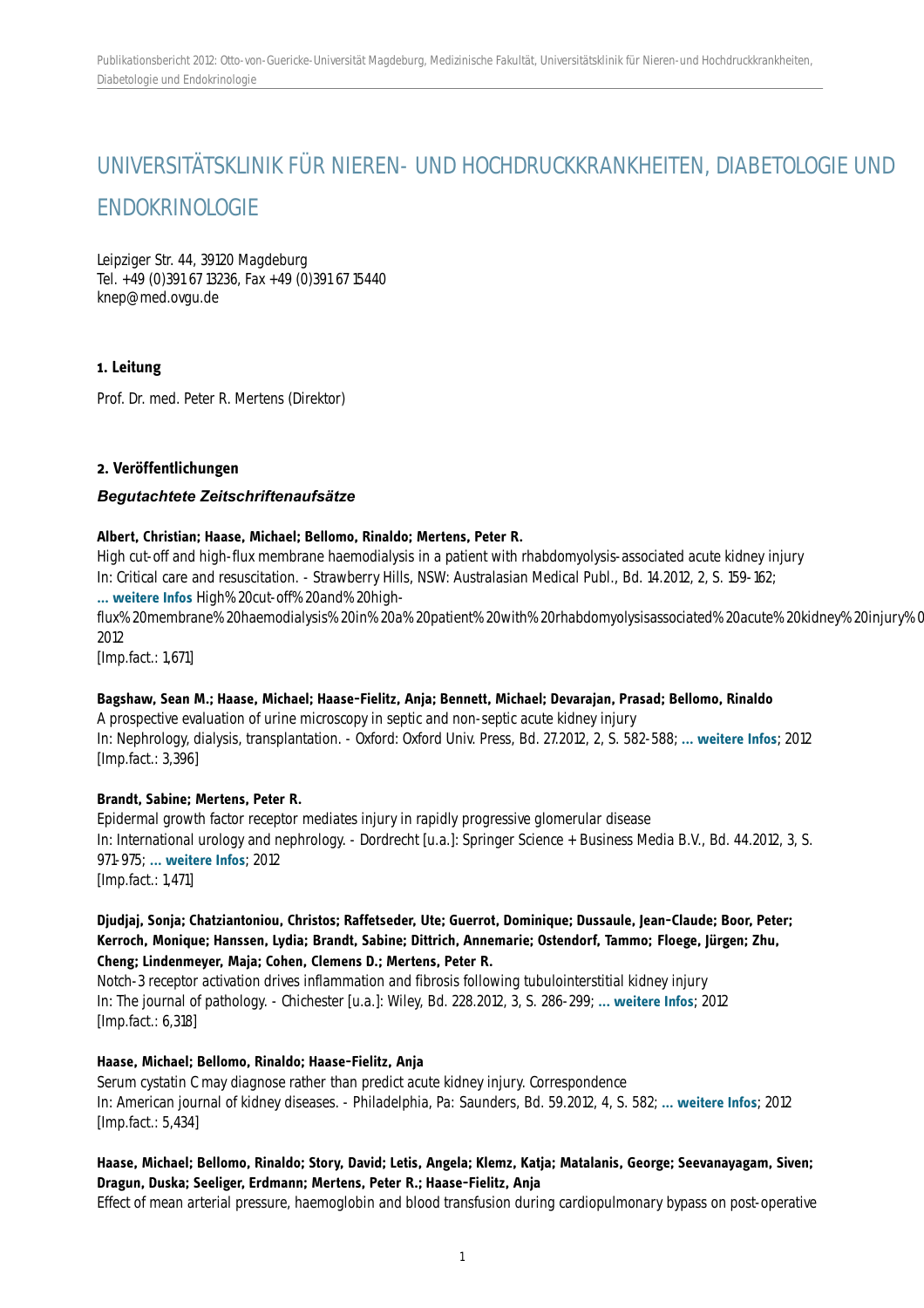# UNIVERSITÄTSKLINIK FÜR NIEREN- UND HOCHDRUCKKRANKHEITEN, DIABETOLOGIE UND ENDOKRINOLOGIE

Leipziger Str. 44, 39120 Magdeburg Tel. +49 (0)391 67 13236, Fax +49 (0)391 67 15440 knep@med.ovgu.de

# **1. Leitung**

Prof. Dr. med. Peter R. Mertens (Direktor)

# **2. Veröffentlichungen**

# *Begutachtete Zeitschriftenaufsätze*

## **Albert, Christian; Haase, Michael; Bellomo, Rinaldo; Mertens, Peter R.**

High cut-off and high-flux membrane haemodialysis in a patient with rhabdomyolysis-associated acute kidney injury [In: Critical care and resuscitation. - Strawberry Hills, NSW: Australasian Medical Publ., Bd. 14.2012, 2, S. 159-162;](http://www.cicm.org.au/journal_load.php?year=2012&month=june&page=159.php&title=159) 

**[... weitere Infos](http://www.cicm.org.au/journal_load.php?year=2012&month=june&page=159.php&title=159)** High%20cut-off%20and%20high-

flux%20membrane%20haemodialysis%20in%20a%20patient%20with%20rhabdomyolysisassociated%20acute%20kidney%20injury%0A%20%20%20%20; 2012

[Imp.fact.: 1,671]

# **Bagshaw, Sean M.; Haase, Michael; Haase-Fielitz, Anja; Bennett, Michael; Devarajan, Prasad; Bellomo, Rinaldo**

A prospective evaluation of urine microscopy in septic and non-septic acute kidney injury In: Nephrology, dialysis, transplantation. - Oxford: Oxford Univ. Press, Bd. 27.2012, 2, S. 582-588; **[... weitere Infos](http://ndt.oxfordjournals.org/content/27/2/582.abstract)**; 2012 [Imp.fact.: 3,396]

# **Brandt, Sabine; Mertens, Peter R.**

Epidermal growth factor receptor mediates injury in rapidly progressive glomerular disease In: International urology and nephrology. - Dordrecht [u.a.]: Springer Science + Business Media B.V., Bd. 44.2012, 3, S. 971-975; **[... weitere Infos](http://www.springerlink.com/content/d5hx872162x13p76/)**; 2012 [Imp.fact.: 1,471]

## **Djudjaj, Sonja; Chatziantoniou, Christos; Raffetseder, Ute; Guerrot, Dominique; Dussaule, Jean-Claude; Boor, Peter; Kerroch, Monique; Hanssen, Lydia; Brandt, Sabine; Dittrich, Annemarie; Ostendorf, Tammo; Floege, Jürgen; Zhu, Cheng; Lindenmeyer, Maja; Cohen, Clemens D.; Mertens, Peter R.**

Notch-3 receptor activation drives inflammation and fibrosis following tubulointerstitial kidney injury In: The journal of pathology. - Chichester [u.a.]: Wiley, Bd. 228.2012, 3, S. 286-299; **[... weitere Infos](http://onlinelibrary.wiley.com/doi/10.1002/path.4076/abstract)**; 2012 [Imp.fact.: 6,318]

# **Haase, Michael; Bellomo, Rinaldo; Haase-Fielitz, Anja**

Serum cystatin C may diagnose rather than predict acute kidney injury. Correspondence In: American journal of kidney diseases. - Philadelphia, Pa: Saunders, Bd. 59.2012, 4, S. 582; **[... weitere Infos](http://www.sciencedirect.com/science/journal/02726386)**; 2012 [Imp.fact.: 5,434]

# **Haase, Michael; Bellomo, Rinaldo; Story, David; Letis, Angela; Klemz, Katja; Matalanis, George; Seevanayagam, Siven; Dragun, Duska; Seeliger, Erdmann; Mertens, Peter R.; Haase-Fielitz, Anja**

Effect of mean arterial pressure, haemoglobin and blood transfusion during cardiopulmonary bypass on post-operative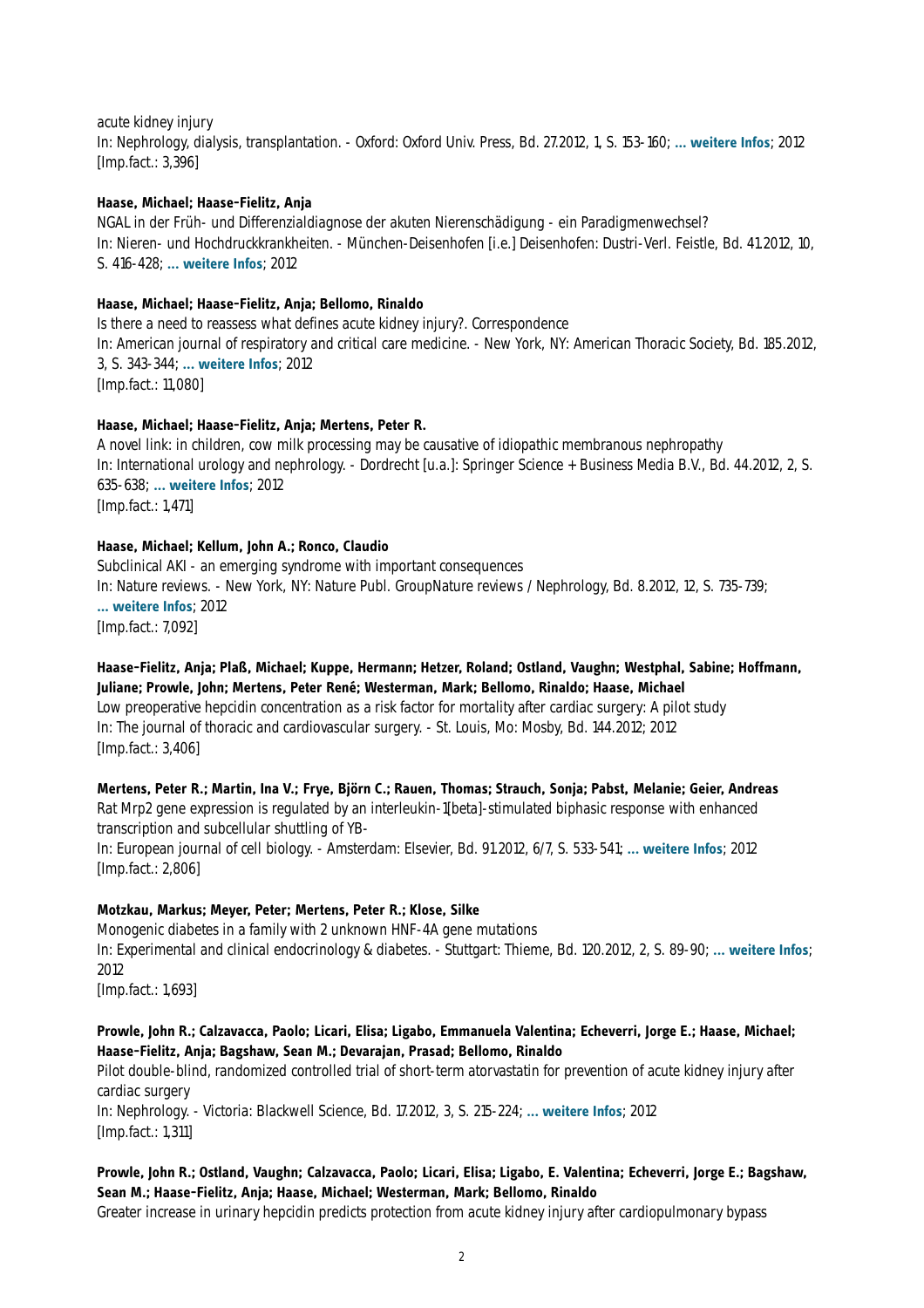acute kidney injury

In: Nephrology, dialysis, transplantation. - Oxford: Oxford Univ. Press, Bd. 27.2012, 1, S. 153-160; **[... weitere Infos](http://ndt.oxfordjournals.org/content/27/1/153.abstract)**; 2012 [Imp.fact.: 3,396]

# **Haase, Michael; Haase-Fielitz, Anja**

NGAL in der Früh- und Differenzialdiagnose der akuten Nierenschädigung - ein Paradigmenwechsel? In: Nieren- und Hochdruckkrankheiten. - München-Deisenhofen [i.e.] Deisenhofen: Dustri-Verl. Feistle, Bd. 41.2012, 10, S. 416-428; **[... weitere Infos](http://www.dustri.com/nc/de/deutschsprachige-zeitschriften/mag/nieren-und-hochdruckkrankheiten/vol/jahrgang-41/issue/oktober-11.html)**; 2012

## **Haase, Michael; Haase-Fielitz, Anja; Bellomo, Rinaldo**

Is there a need to reassess what defines acute kidney injury?. Correspondence In: American journal of respiratory and critical care medicine. - New York, NY: American Thoracic Society, Bd. 185.2012, 3, S. 343-344; **[... weitere Infos](http://ajrccm.atsjournals.org/content/185/3.toc)**; 2012 [Imp.fact.: 11,080]

## **Haase, Michael; Haase-Fielitz, Anja; Mertens, Peter R.**

A novel link: in children, cow milk processing may be causative of idiopathic membranous nephropathy In: International urology and nephrology. - Dordrecht [u.a.]: Springer Science + Business Media B.V., Bd. 44.2012, 2, S. 635-638; **[... weitere Infos](http://www.springerlink.com/content/xntu88714j35j644/)**; 2012 [Imp.fact.: 1,471]

## **Haase, Michael; Kellum, John A.; Ronco, Claudio**

Subclinical AKI - an emerging syndrome with important consequences [In: Nature reviews. - New York, NY: Nature Publ. GroupNature reviews / Nephrology, Bd. 8.2012, 12, S. 735-739;](http://www.nature.com/nrneph/journal/v8/n12/abs/nrneph.2012.197.html)  **[... weitere Infos](http://www.nature.com/nrneph/journal/v8/n12/abs/nrneph.2012.197.html)**; 2012 [Imp.fact.: 7,092]

#### **Haase-Fielitz, Anja; Plaß, Michael; Kuppe, Hermann; Hetzer, Roland; Ostland, Vaughn; Westphal, Sabine; Hoffmann, Juliane; Prowle, John; Mertens, Peter René; Westerman, Mark; Bellomo, Rinaldo; Haase, Michael**

Low preoperative hepcidin concentration as a risk factor for mortality after cardiac surgery: A pilot study In: The journal of thoracic and cardiovascular surgery. - St. Louis, Mo: Mosby, Bd. 144.2012; 2012 [Imp.fact.: 3,406]

# **Mertens, Peter R.; Martin, Ina V.; Frye, Björn C.; Rauen, Thomas; Strauch, Sonja; Pabst, Melanie; Geier, Andreas**

Rat Mrp2 gene expression is regulated by an interleukin-1[beta]-stimulated biphasic response with enhanced transcription and subcellular shuttling of YB-

In: European journal of cell biology. - Amsterdam: Elsevier, Bd. 91.2012, 6/7, S. 533-541; **[... weitere Infos](http://www.sciencedirect.com/science/journal/01719335)**; 2012 [Imp.fact.: 2,806]

#### **Motzkau, Markus; Meyer, Peter; Mertens, Peter R.; Klose, Silke**

Monogenic diabetes in a family with 2 unknown HNF-4A gene mutations In: Experimental and clinical endocrinology & diabetes. - Stuttgart: Thieme, Bd. 120.2012, 2, S. 89-90; **[... weitere Infos](https://www.thieme-connect.de/ejournals/abstract/eced/doi/10.1055/s-0031-1284378)**; 2012

[Imp.fact.: 1,693]

# **Prowle, John R.; Calzavacca, Paolo; Licari, Elisa; Ligabo, Emmanuela Valentina; Echeverri, Jorge E.; Haase, Michael; Haase-Fielitz, Anja; Bagshaw, Sean M.; Devarajan, Prasad; Bellomo, Rinaldo**

Pilot double-blind, randomized controlled trial of short-term atorvastatin for prevention of acute kidney injury after cardiac surgery

In: Nephrology. - Victoria: Blackwell Science, Bd. 17.2012, 3, S. 215-224; **[... weitere Infos](http://onlinelibrary.wiley.com/doi/10.1111/j.1440-1797.2011.01546.x/abstract)**; 2012 [Imp.fact.: 1,311]

# **Prowle, John R.; Ostland, Vaughn; Calzavacca, Paolo; Licari, Elisa; Ligabo, E. Valentina; Echeverri, Jorge E.; Bagshaw, Sean M.; Haase-Fielitz, Anja; Haase, Michael; Westerman, Mark; Bellomo, Rinaldo**

Greater increase in urinary hepcidin predicts protection from acute kidney injury after cardiopulmonary bypass